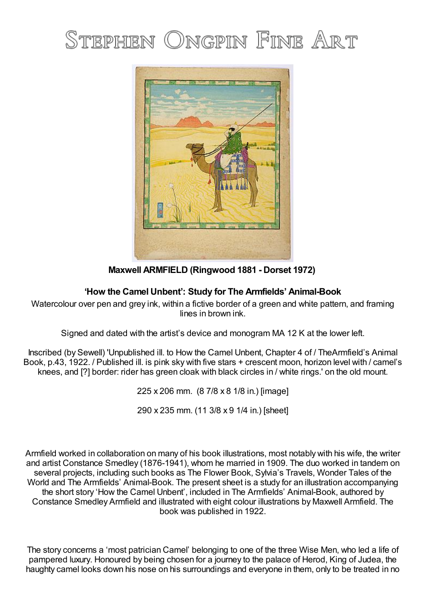## STEPHEN ONGPIN FINE ART



**Maxwell ARMFIELD (Ringwood 1881 - Dorset 1972)**

## **'How the Camel Unbent': Study for The Armfields' Animal-Book**

Watercolour over pen and grey ink, within a fictive border of a green and white pattern, and framing lines in brown ink.

Signed and dated with the artist's device and monogram MA 12 K at the lower left.

Inscribed (by Sewell) 'Unpublished ill. to How the Camel Unbent, Chapter 4 of / TheArmfield's Animal Book, p.43, 1922. / Published ill. is pink sky with five stars + crescent moon, horizon level with / camel's knees, and [?] border: rider has green cloak with black circles in / white rings.' on the old mount.

225 x 206 mm. (8 7/8 x 8 1/8 in.) [image]

290 x 235 mm. (11 3/8 x 9 1/4 in.) [sheet]

Armfield worked in collaboration on many of his book illustrations, most notably with his wife, the writer and artist Constance Smedley (1876-1941), whom he married in 1909. The duo worked in tandem on several projects, including such books as The Flower Book, Sylvia's Travels, Wonder Tales of the World and The Armfields' Animal-Book. The present sheet is a study for an illustration accompanying the short story 'How the Camel Unbent', included in The Armfields' Animal-Book, authored by Constance Smedley Armfield and illustrated with eight colour illustrations by Maxwell Armfield. The book was published in 1922.

The story concerns a 'most patrician Camel' belonging to one of the three Wise Men, who led a life of pampered luxury. Honoured by being chosen for a journey to the palace of Herod, King of Judea, the haughty camel looks down his nose on his surroundings and everyone in them, only to be treated in no